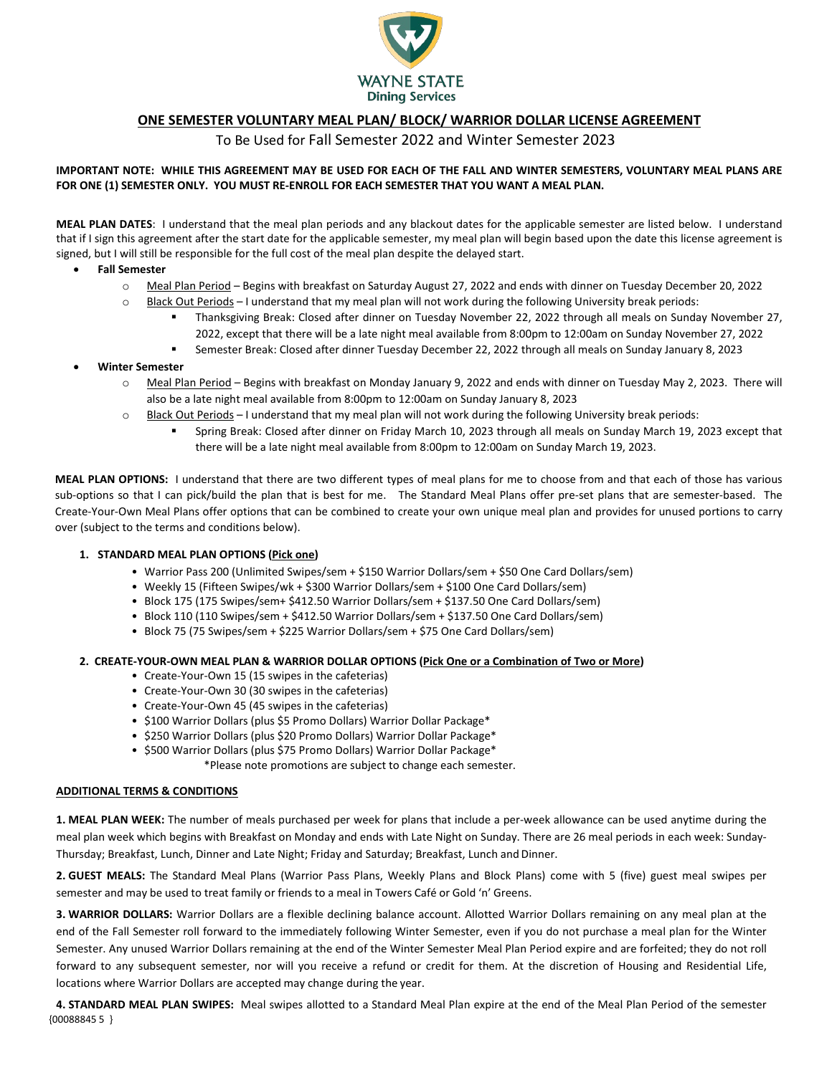

# **ONE SEMESTER VOLUNTARY MEAL PLAN/ BLOCK/ WARRIOR DOLLAR LICENSE AGREEMENT**

To Be Used for Fall Semester 2022 and Winter Semester 2023

### **IMPORTANT NOTE: WHILE THIS AGREEMENT MAY BE USED FOR EACH OF THE FALL AND WINTER SEMESTERS, VOLUNTARY MEAL PLANS ARE FOR ONE (1) SEMESTER ONLY. YOU MUST RE-ENROLL FOR EACH SEMESTER THAT YOU WANT A MEAL PLAN.**

**MEAL PLAN DATES**: I understand that the meal plan periods and any blackout dates for the applicable semester are listed below. I understand that if I sign this agreement after the start date for the applicable semester, my meal plan will begin based upon the date this license agreement is signed, but I will still be responsible for the full cost of the meal plan despite the delayed start.

- **Fall Semester**
	- o Meal Plan Period Begins with breakfast on Saturday August 27, 2022 and ends with dinner on Tuesday December 20, 2022
	- o Black Out Periods I understand that my meal plan will not work during the following University break periods:
		- Thanksgiving Break: Closed after dinner on Tuesday November 22, 2022 through all meals on Sunday November 27, 2022, except that there will be a late night meal available from 8:00pm to 12:00am on Sunday November 27, 2022
		- Semester Break: Closed after dinner Tuesday December 22, 2022 through all meals on Sunday January 8, 2023

## • **Winter Semester**

- o Meal Plan Period Begins with breakfast on Monday January 9, 2022 and ends with dinner on Tuesday May 2, 2023. There will also be a late night meal available from 8:00pm to 12:00am on Sunday January 8, 2023
- $\circ$  Black Out Periods I understand that my meal plan will not work during the following University break periods:
	- Spring Break: Closed after dinner on Friday March 10, 2023 through all meals on Sunday March 19, 2023 except that there will be a late night meal available from 8:00pm to 12:00am on Sunday March 19, 2023.

**MEAL PLAN OPTIONS:** I understand that there are two different types of meal plans for me to choose from and that each of those has various sub-options so that I can pick/build the plan that is best for me. The Standard Meal Plans offer pre-set plans that are semester-based. The Create-Your-Own Meal Plans offer options that can be combined to create your own unique meal plan and provides for unused portions to carry over (subject to the terms and conditions below).

### **1. STANDARD MEAL PLAN OPTIONS (Pick one)**

- Warrior Pass 200 (Unlimited Swipes/sem + \$150 Warrior Dollars/sem + \$50 One Card Dollars/sem)
- Weekly 15 (Fifteen Swipes/wk + \$300 Warrior Dollars/sem + \$100 One Card Dollars/sem)
- Block 175 (175 Swipes/sem+ \$412.50 Warrior Dollars/sem + \$137.50 One Card Dollars/sem)
- Block 110 (110 Swipes/sem + \$412.50 Warrior Dollars/sem + \$137.50 One Card Dollars/sem)
- Block 75 (75 Swipes/sem + \$225 Warrior Dollars/sem + \$75 One Card Dollars/sem)

#### **2. CREATE-YOUR-OWN MEAL PLAN & WARRIOR DOLLAR OPTIONS (Pick One or a Combination of Two or More)**

- Create-Your-Own 15 (15 swipes in the cafeterias)
- Create-Your-Own 30 (30 swipes in the cafeterias)
- Create-Your-Own 45 (45 swipes in the cafeterias)
- \$100 Warrior Dollars (plus \$5 Promo Dollars) Warrior Dollar Package\*
- \$250 Warrior Dollars (plus \$20 Promo Dollars) Warrior Dollar Package\*
- \$500 Warrior Dollars (plus \$75 Promo Dollars) Warrior Dollar Package\*

\*Please note promotions are subject to change each semester.

#### **ADDITIONAL TERMS & CONDITIONS**

**1. MEAL PLAN WEEK:** The number of meals purchased per week for plans that include a per-week allowance can be used anytime during the meal plan week which begins with Breakfast on Monday and ends with Late Night on Sunday. There are 26 meal periods in each week: Sunday-Thursday; Breakfast, Lunch, Dinner and Late Night; Friday and Saturday; Breakfast, Lunch and Dinner.

**2. GUEST MEALS:** The Standard Meal Plans (Warrior Pass Plans, Weekly Plans and Block Plans) come with 5 (five) guest meal swipes per semester and may be used to treat family or friends to a meal in Towers Café or Gold 'n' Greens.

**3. WARRIOR DOLLARS:** Warrior Dollars are a flexible declining balance account. Allotted Warrior Dollars remaining on any meal plan at the end of the Fall Semester roll forward to the immediately following Winter Semester, even if you do not purchase a meal plan for the Winter Semester. Any unused Warrior Dollars remaining at the end of the Winter Semester Meal Plan Period expire and are forfeited; they do not roll forward to any subsequent semester, nor will you receive a refund or credit for them. At the discretion of Housing and Residential Life, locations where Warrior Dollars are accepted may change during the year.

{00088845 5 } **4. STANDARD MEAL PLAN SWIPES:** Meal swipes allotted to a Standard Meal Plan expire at the end of the Meal Plan Period of the semester